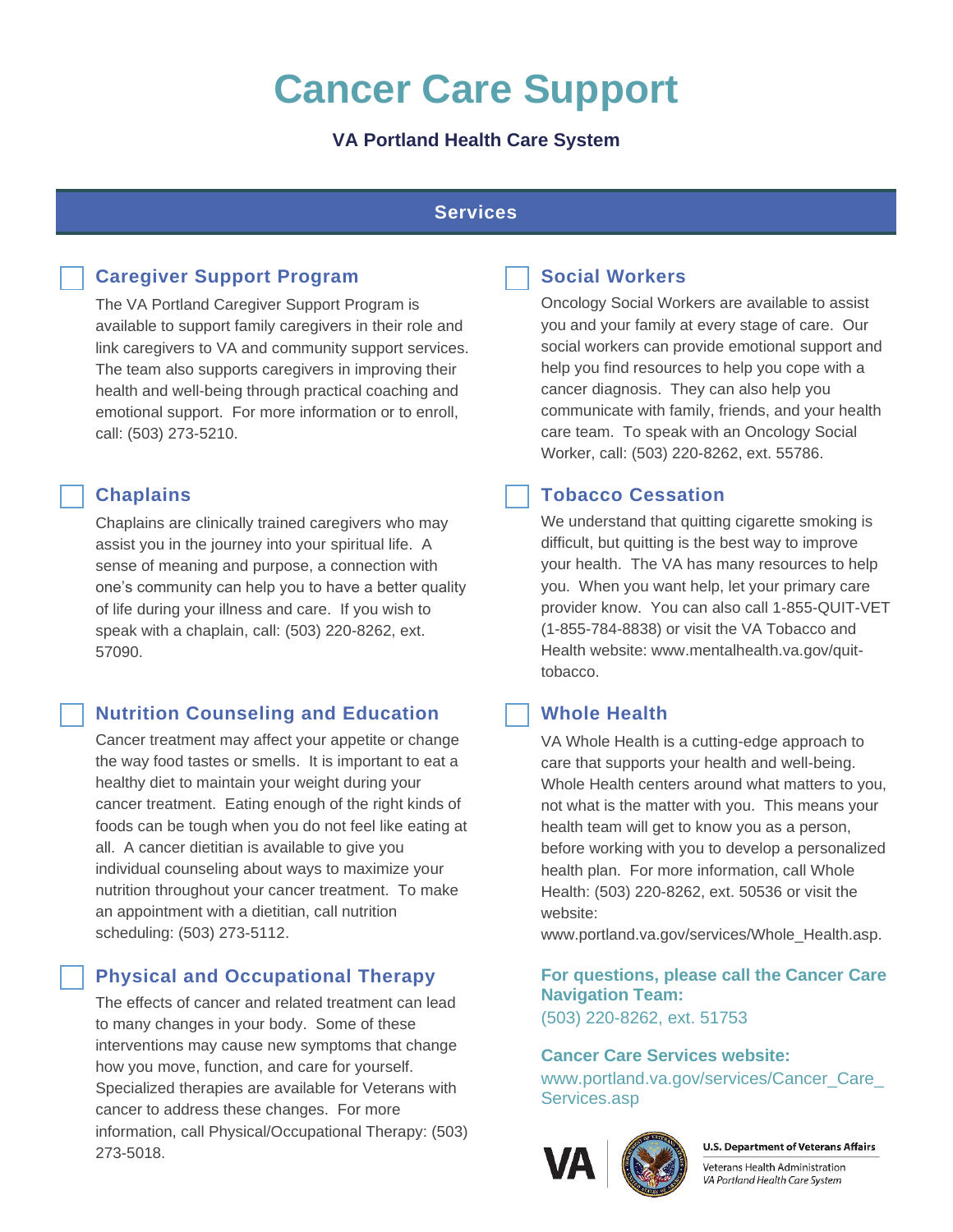# **Cancer Care Support**

# **VA Portland Health Care System**

#### **Services**

# **Caregiver Support Program**

The VA Portland Caregiver Support Program is available to support family caregivers in their role and link caregivers to VA and community support services. The team also supports caregivers in improving their health and well-being through practical coaching and emotional support. For more information or to enroll, call: (503) 273-5210.

#### **Chaplains**

Chaplains are clinically trained caregivers who may assist you in the journey into your spiritual life. A sense of meaning and purpose, a connection with one's community can help you to have a better quality of life during your illness and care. If you wish to speak with a chaplain, call: (503) 220-8262, ext. 57090.

# **Nutrition Counseling and Education**

Cancer treatment may affect your appetite or change the way food tastes or smells. It is important to eat a healthy diet to maintain your weight during your cancer treatment. Eating enough of the right kinds of foods can be tough when you do not feel like eating at all. A cancer dietitian is available to give you individual counseling about ways to maximize your nutrition throughout your cancer treatment. To make an appointment with a dietitian, call nutrition scheduling: (503) 273-5112.

# **Physical and Occupational Therapy**

The effects of cancer and related treatment can lead to many changes in your body. Some of these interventions may cause new symptoms that change how you move, function, and care for yourself. Specialized therapies are available for Veterans with cancer to address these changes. For more information, call Physical/Occupational Therapy: (503) 273-5018.



#### **Social Workers**

Oncology Social Workers are available to assist you and your family at every stage of care. Our social workers can provide emotional support and help you find resources to help you cope with a cancer diagnosis. They can also help you communicate with family, friends, and your health care team. To speak with an Oncology Social Worker, call: (503) 220-8262, ext. 55786.

# **Tobacco Cessation**

We understand that quitting cigarette smoking is difficult, but quitting is the best way to improve your health. The VA has many resources to help you. When you want help, let your primary care provider know. You can also call 1-855-QUIT-VET (1-855-784-8838) or visit the VA Tobacco and Health website: www.mentalhealth.va.gov/quittobacco.

# **Whole Health**

VA Whole Health is a cutting-edge approach to care that supports your health and well-being. Whole Health centers around what matters to you, not what is the matter with you. This means your health team will get to know you as a person, before working with you to develop a personalized health plan. For more information, call Whole Health: (503) 220-8262, ext. 50536 or visit the website:

www.portland.va.gov/services/Whole\_Health.asp.

**For questions, please call the Cancer Care Navigation Team:**  (503) 220-8262, ext. 51753

#### **Cancer Care Services website:**

[www.portland.va.gov/services/Cancer\\_Care\\_](file:///C:/Users/VHAPORHERRID/AppData/Local/Microsoft/Windows/INetCache/Content.Outlook/S1W2614T/www.portland.va.gov/services/Cancer_Care_Services.asp) [Services.asp](file:///C:/Users/VHAPORHERRID/AppData/Local/Microsoft/Windows/INetCache/Content.Outlook/S1W2614T/www.portland.va.gov/services/Cancer_Care_Services.asp)



**U.S. Department of Veterans Affairs** 

Veterans Health Administration VA Portland Health Care System